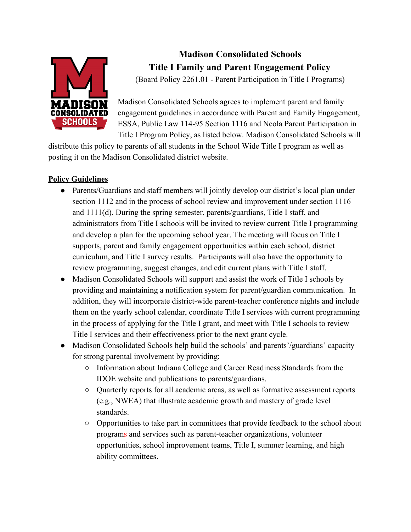

# **Madison Consolidated Schools Title I Family and Parent Engagement Policy**

(Board Policy 2261.01 - Parent Participation in Title I Programs)

Madison Consolidated Schools agrees to implement parent and family engagement guidelines in accordance with Parent and Family Engagement, ESSA, Public Law 114-95 Section 1116 and Neola Parent Participation in Title I Program Policy, as listed below. Madison Consolidated Schools will

distribute this policy to parents of all students in the School Wide Title I program as well as posting it on the Madison Consolidated district website.

## **Policy Guidelines**

- Parents/Guardians and staff members will jointly develop our district's local plan under section 1112 and in the process of school review and improvement under section 1116 and 1111(d). During the spring semester, parents/guardians, Title I staff, and administrators from Title I schools will be invited to review current Title I programming and develop a plan for the upcoming school year. The meeting will focus on Title I supports, parent and family engagement opportunities within each school, district curriculum, and Title I survey results. Participants will also have the opportunity to review programming, suggest changes, and edit current plans with Title I staff.
- Madison Consolidated Schools will support and assist the work of Title I schools by providing and maintaining a notification system for parent/guardian communication. In addition, they will incorporate district-wide parent-teacher conference nights and include them on the yearly school calendar, coordinate Title I services with current programming in the process of applying for the Title I grant, and meet with Title I schools to review Title I services and their effectiveness prior to the next grant cycle.
- Madison Consolidated Schools help build the schools' and parents'/guardians' capacity for strong parental involvement by providing:
	- Information about Indiana College and Career Readiness Standards from the IDOE website and publications to parents/guardians.
	- Quarterly reports for all academic areas, as well as formative assessment reports (e.g., NWEA) that illustrate academic growth and mastery of grade level standards.
	- Opportunities to take part in committees that provide feedback to the school about programs and services such as parent-teacher organizations, volunteer opportunities, school improvement teams, Title I, summer learning, and high ability committees.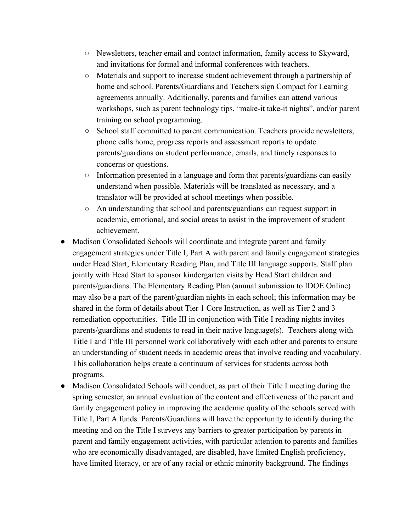- Newsletters, teacher email and contact information, family access to Skyward, and invitations for formal and informal conferences with teachers.
- Materials and support to increase student achievement through a partnership of home and school. Parents/Guardians and Teachers sign Compact for Learning agreements annually. Additionally, parents and families can attend various workshops, such as parent technology tips, "make-it take-it nights", and/or parent training on school programming.
- School staff committed to parent communication. Teachers provide newsletters, phone calls home, progress reports and assessment reports to update parents/guardians on student performance, emails, and timely responses to concerns or questions.
- Information presented in a language and form that parents/guardians can easily understand when possible. Materials will be translated as necessary, and a translator will be provided at school meetings when possible.
- An understanding that school and parents/guardians can request support in academic, emotional, and social areas to assist in the improvement of student achievement.
- Madison Consolidated Schools will coordinate and integrate parent and family engagement strategies under Title I, Part A with parent and family engagement strategies under Head Start, Elementary Reading Plan, and Title III language supports. Staff plan jointly with Head Start to sponsor kindergarten visits by Head Start children and parents/guardians. The Elementary Reading Plan (annual submission to IDOE Online) may also be a part of the parent/guardian nights in each school; this information may be shared in the form of details about Tier 1 Core Instruction, as well as Tier 2 and 3 remediation opportunities. Title III in conjunction with Title I reading nights invites parents/guardians and students to read in their native language(s). Teachers along with Title I and Title III personnel work collaboratively with each other and parents to ensure an understanding of student needs in academic areas that involve reading and vocabulary. This collaboration helps create a continuum of services for students across both programs.
- Madison Consolidated Schools will conduct, as part of their Title I meeting during the spring semester, an annual evaluation of the content and effectiveness of the parent and family engagement policy in improving the academic quality of the schools served with Title I, Part A funds. Parents/Guardians will have the opportunity to identify during the meeting and on the Title I surveys any barriers to greater participation by parents in parent and family engagement activities, with particular attention to parents and families who are economically disadvantaged, are disabled, have limited English proficiency, have limited literacy, or are of any racial or ethnic minority background. The findings